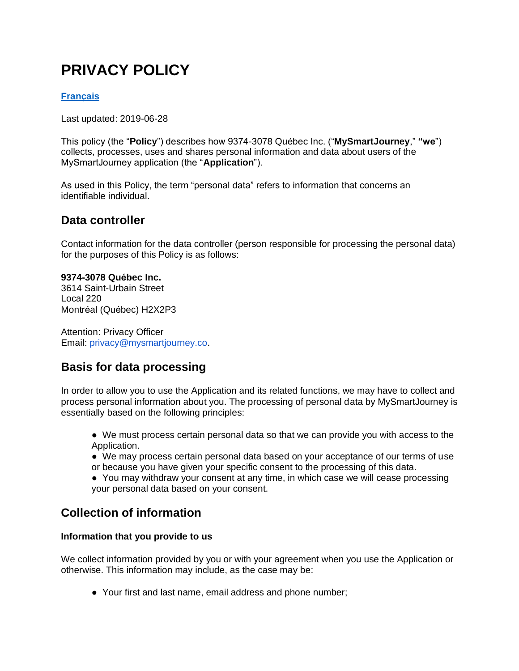# **PRIVACY POLICY**

### **[Français](http://mysmartjourney.com/legal/vie-privee/)**

Last updated: 2019-06-28

This policy (the "**Policy**") describes how 9374-3078 Québec Inc. ("**MySmartJourney**," **"we**") collects, processes, uses and shares personal information and data about users of the MySmartJourney application (the "**Application**").

As used in this Policy, the term "personal data" refers to information that concerns an identifiable individual.

# **Data controller**

Contact information for the data controller (person responsible for processing the personal data) for the purposes of this Policy is as follows:

### **9374-3078 Québec Inc.**

3614 Saint-Urbain Street Local 220 Montréal (Québec) H2X2P3

Attention: Privacy Officer Email: privacy@mysmartjourney.co.

# **Basis for data processing**

In order to allow you to use the Application and its related functions, we may have to collect and process personal information about you. The processing of personal data by MySmartJourney is essentially based on the following principles:

- We must process certain personal data so that we can provide you with access to the Application.
- We may process certain personal data based on your acceptance of our terms of use
- or because you have given your specific consent to the processing of this data.

● You may withdraw your consent at any time, in which case we will cease processing your personal data based on your consent.

# **Collection of information**

### **Information that you provide to us**

We collect information provided by you or with your agreement when you use the Application or otherwise. This information may include, as the case may be:

● Your first and last name, email address and phone number;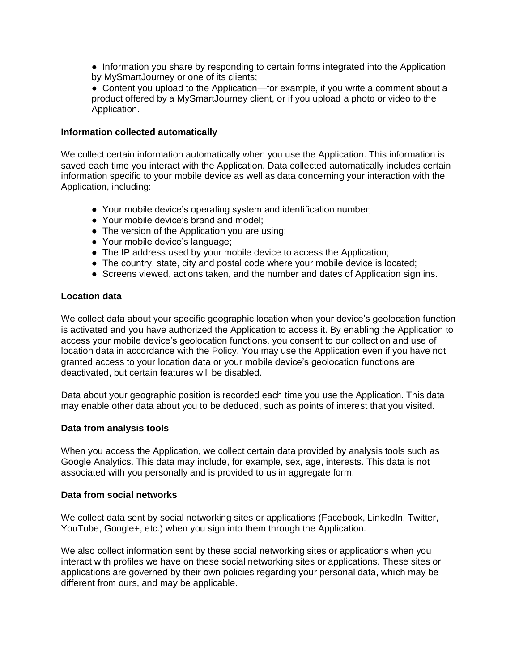• Information you share by responding to certain forms integrated into the Application by MySmartJourney or one of its clients;

• Content you upload to the Application—for example, if you write a comment about a product offered by a MySmartJourney client, or if you upload a photo or video to the Application.

#### **Information collected automatically**

We collect certain information automatically when you use the Application. This information is saved each time you interact with the Application. Data collected automatically includes certain information specific to your mobile device as well as data concerning your interaction with the Application, including:

- Your mobile device's operating system and identification number;
- Your mobile device's brand and model;
- The version of the Application you are using:
- Your mobile device's language;
- The IP address used by your mobile device to access the Application;
- The country, state, city and postal code where your mobile device is located;
- Screens viewed, actions taken, and the number and dates of Application sign ins.

### **Location data**

We collect data about your specific geographic location when your device's geolocation function is activated and you have authorized the Application to access it. By enabling the Application to access your mobile device's geolocation functions, you consent to our collection and use of location data in accordance with the Policy. You may use the Application even if you have not granted access to your location data or your mobile device's geolocation functions are deactivated, but certain features will be disabled.

Data about your geographic position is recorded each time you use the Application. This data may enable other data about you to be deduced, such as points of interest that you visited.

### **Data from analysis tools**

When you access the Application, we collect certain data provided by analysis tools such as Google Analytics. This data may include, for example, sex, age, interests. This data is not associated with you personally and is provided to us in aggregate form.

### **Data from social networks**

We collect data sent by social networking sites or applications (Facebook, LinkedIn, Twitter, YouTube, Google+, etc.) when you sign into them through the Application.

We also collect information sent by these social networking sites or applications when you interact with profiles we have on these social networking sites or applications. These sites or applications are governed by their own policies regarding your personal data, which may be different from ours, and may be applicable.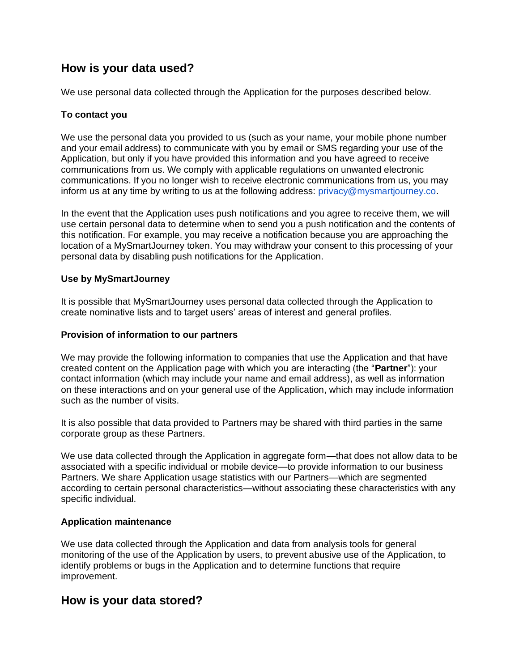# **How is your data used?**

We use personal data collected through the Application for the purposes described below.

### **To contact you**

We use the personal data you provided to us (such as your name, your mobile phone number and your email address) to communicate with you by email or SMS regarding your use of the Application, but only if you have provided this information and you have agreed to receive communications from us. We comply with applicable regulations on unwanted electronic communications. If you no longer wish to receive electronic communications from us, you may inform us at any time by writing to us at the following address: privacy@mysmartjourney.co.

In the event that the Application uses push notifications and you agree to receive them, we will use certain personal data to determine when to send you a push notification and the contents of this notification. For example, you may receive a notification because you are approaching the location of a MySmartJourney token. You may withdraw your consent to this processing of your personal data by disabling push notifications for the Application.

### **Use by MySmartJourney**

It is possible that MySmartJourney uses personal data collected through the Application to create nominative lists and to target users' areas of interest and general profiles.

### **Provision of information to our partners**

We may provide the following information to companies that use the Application and that have created content on the Application page with which you are interacting (the "**Partner**"): your contact information (which may include your name and email address), as well as information on these interactions and on your general use of the Application, which may include information such as the number of visits.

It is also possible that data provided to Partners may be shared with third parties in the same corporate group as these Partners.

We use data collected through the Application in aggregate form—that does not allow data to be associated with a specific individual or mobile device—to provide information to our business Partners. We share Application usage statistics with our Partners—which are segmented according to certain personal characteristics—without associating these characteristics with any specific individual.

### **Application maintenance**

We use data collected through the Application and data from analysis tools for general monitoring of the use of the Application by users, to prevent abusive use of the Application, to identify problems or bugs in the Application and to determine functions that require improvement.

### **How is your data stored?**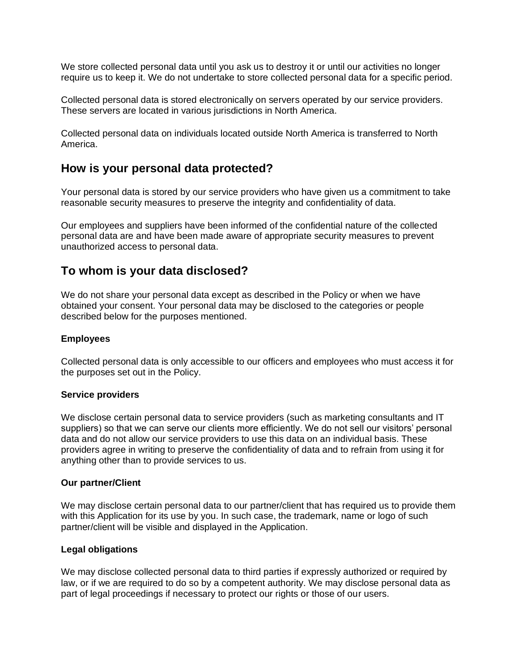We store collected personal data until you ask us to destroy it or until our activities no longer require us to keep it. We do not undertake to store collected personal data for a specific period.

Collected personal data is stored electronically on servers operated by our service providers. These servers are located in various jurisdictions in North America.

Collected personal data on individuals located outside North America is transferred to North America.

### **How is your personal data protected?**

Your personal data is stored by our service providers who have given us a commitment to take reasonable security measures to preserve the integrity and confidentiality of data.

Our employees and suppliers have been informed of the confidential nature of the collected personal data are and have been made aware of appropriate security measures to prevent unauthorized access to personal data.

### **To whom is your data disclosed?**

We do not share your personal data except as described in the Policy or when we have obtained your consent. Your personal data may be disclosed to the categories or people described below for the purposes mentioned.

### **Employees**

Collected personal data is only accessible to our officers and employees who must access it for the purposes set out in the Policy.

#### **Service providers**

We disclose certain personal data to service providers (such as marketing consultants and IT suppliers) so that we can serve our clients more efficiently. We do not sell our visitors' personal data and do not allow our service providers to use this data on an individual basis. These providers agree in writing to preserve the confidentiality of data and to refrain from using it for anything other than to provide services to us.

#### **Our partner/Client**

We may disclose certain personal data to our partner/client that has required us to provide them with this Application for its use by you. In such case, the trademark, name or logo of such partner/client will be visible and displayed in the Application.

#### **Legal obligations**

We may disclose collected personal data to third parties if expressly authorized or required by law, or if we are required to do so by a competent authority. We may disclose personal data as part of legal proceedings if necessary to protect our rights or those of our users.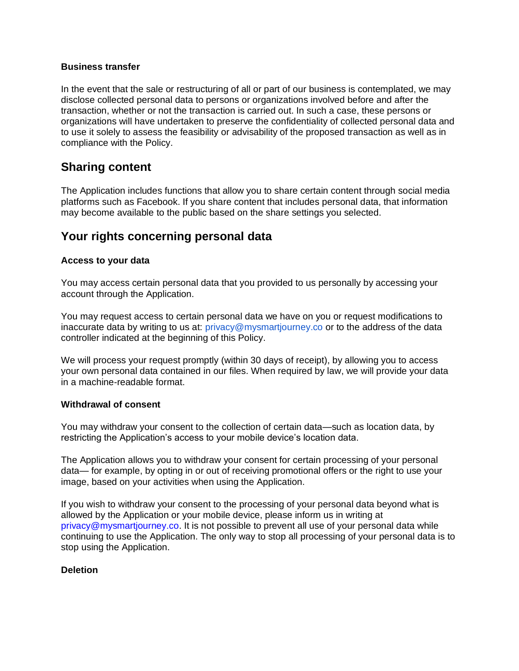### **Business transfer**

In the event that the sale or restructuring of all or part of our business is contemplated, we may disclose collected personal data to persons or organizations involved before and after the transaction, whether or not the transaction is carried out. In such a case, these persons or organizations will have undertaken to preserve the confidentiality of collected personal data and to use it solely to assess the feasibility or advisability of the proposed transaction as well as in compliance with the Policy.

### **Sharing content**

The Application includes functions that allow you to share certain content through social media platforms such as Facebook. If you share content that includes personal data, that information may become available to the public based on the share settings you selected.

## **Your rights concerning personal data**

### **Access to your data**

You may access certain personal data that you provided to us personally by accessing your account through the Application.

You may request access to certain personal data we have on you or request modifications to inaccurate data by writing to us at: privacy@mysmartjourney.co or to the address of the data controller indicated at the beginning of this Policy.

We will process your request promptly (within 30 days of receipt), by allowing you to access your own personal data contained in our files. When required by law, we will provide your data in a machine-readable format.

### **Withdrawal of consent**

You may withdraw your consent to the collection of certain data—such as location data, by restricting the Application's access to your mobile device's location data.

The Application allows you to withdraw your consent for certain processing of your personal data— for example, by opting in or out of receiving promotional offers or the right to use your image, based on your activities when using the Application.

If you wish to withdraw your consent to the processing of your personal data beyond what is allowed by the Application or your mobile device, please inform us in writing at privacy@mysmartjourney.co. It is not possible to prevent all use of your personal data while continuing to use the Application. The only way to stop all processing of your personal data is to stop using the Application.

### **Deletion**